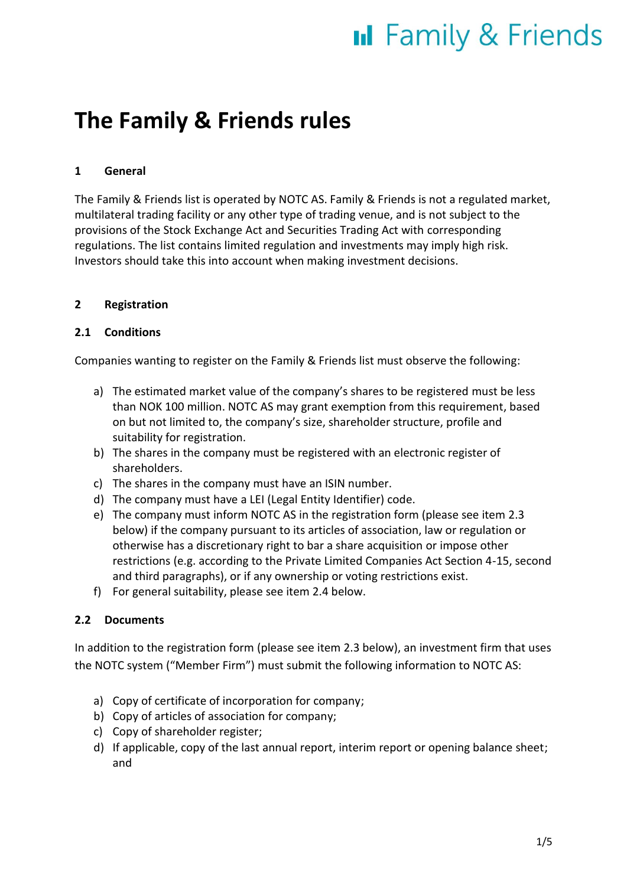## **The Family & Friends rules**

### **1 General**

The Family & Friends list is operated by NOTC AS. Family & Friends is not a regulated market, multilateral trading facility or any other type of trading venue, and is not subject to the provisions of the Stock Exchange Act and Securities Trading Act with corresponding regulations. The list contains limited regulation and investments may imply high risk. Investors should take this into account when making investment decisions.

### **2 Registration**

### **2.1 Conditions**

Companies wanting to register on the Family & Friends list must observe the following:

- a) The estimated market value of the company's shares to be registered must be less than NOK 100 million. NOTC AS may grant exemption from this requirement, based on but not limited to, the company's size, shareholder structure, profile and suitability for registration.
- b) The shares in the company must be registered with an electronic register of shareholders.
- c) The shares in the company must have an ISIN number.
- d) The company must have a LEI (Legal Entity Identifier) code.
- e) The company must inform NOTC AS in the registration form (please see item 2.3 below) if the company pursuant to its articles of association, law or regulation or otherwise has a discretionary right to bar a share acquisition or impose other restrictions (e.g. according to the Private Limited Companies Act Section 4-15, second and third paragraphs), or if any ownership or voting restrictions exist.
- f) For general suitability, please see item 2.4 below.

### **2.2 Documents**

In addition to the registration form (please see item 2.3 below), an investment firm that uses the NOTC system ("Member Firm") must submit the following information to NOTC AS:

- a) Copy of certificate of incorporation for company;
- b) Copy of articles of association for company;
- c) Copy of shareholder register;
- d) If applicable, copy of the last annual report, interim report or opening balance sheet; and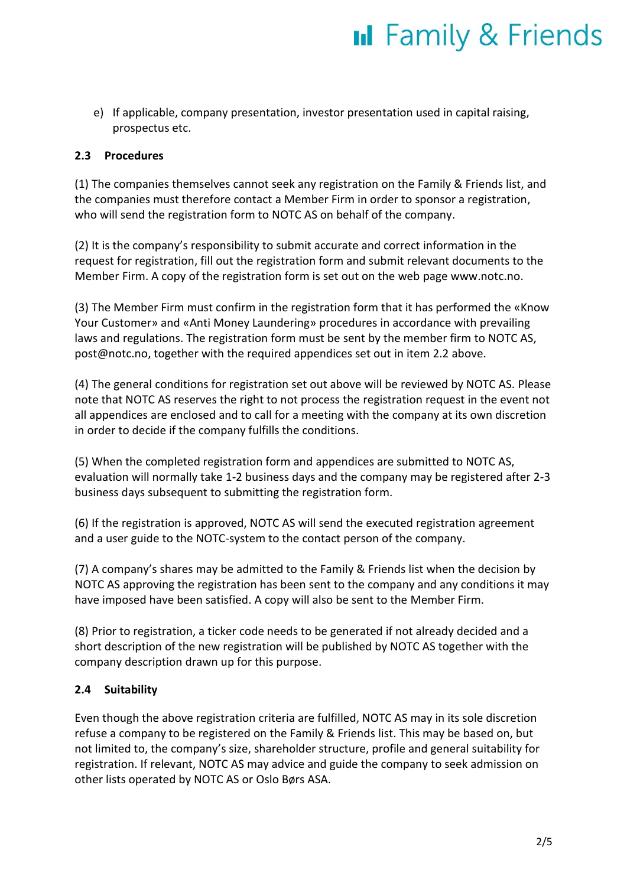e) If applicable, company presentation, investor presentation used in capital raising, prospectus etc.

### **2.3 Procedures**

(1) The companies themselves cannot seek any registration on the Family & Friends list, and the companies must therefore contact a Member Firm in order to sponsor a registration, who will send the registration form to NOTC AS on behalf of the company.

(2) It is the company's responsibility to submit accurate and correct information in the request for registration, fill out the registration form and submit relevant documents to the Member Firm. A copy of the registration form is set out on the web page www.notc.no.

(3) The Member Firm must confirm in the registration form that it has performed the «Know Your Customer» and «Anti Money Laundering» procedures in accordance with prevailing laws and regulations. The registration form must be sent by the member firm to NOTC AS, post@notc.no, together with the required appendices set out in item 2.2 above.

(4) The general conditions for registration set out above will be reviewed by NOTC AS. Please note that NOTC AS reserves the right to not process the registration request in the event not all appendices are enclosed and to call for a meeting with the company at its own discretion in order to decide if the company fulfills the conditions.

(5) When the completed registration form and appendices are submitted to NOTC AS, evaluation will normally take 1-2 business days and the company may be registered after 2-3 business days subsequent to submitting the registration form.

(6) If the registration is approved, NOTC AS will send the executed registration agreement and a user guide to the NOTC-system to the contact person of the company.

(7) A company's shares may be admitted to the Family & Friends list when the decision by NOTC AS approving the registration has been sent to the company and any conditions it may have imposed have been satisfied. A copy will also be sent to the Member Firm.

(8) Prior to registration, a ticker code needs to be generated if not already decided and a short description of the new registration will be published by NOTC AS together with the company description drawn up for this purpose.

#### **2.4 Suitability**

Even though the above registration criteria are fulfilled, NOTC AS may in its sole discretion refuse a company to be registered on the Family & Friends list. This may be based on, but not limited to, the company's size, shareholder structure, profile and general suitability for registration. If relevant, NOTC AS may advice and guide the company to seek admission on other lists operated by NOTC AS or Oslo Børs ASA.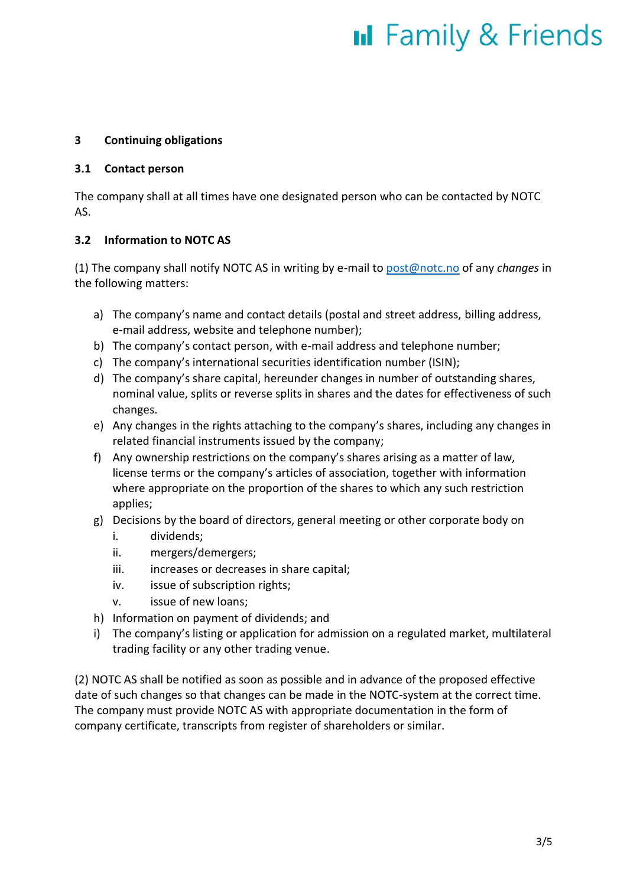#### **3 Continuing obligations**

#### **3.1 Contact person**

The company shall at all times have one designated person who can be contacted by NOTC AS.

#### **3.2 Information to NOTC AS**

(1) The company shall notify NOTC AS in writing by e-mail t[o post@notc.no](mailto:post@notc.no) of any *changes* in the following matters:

- a) The company's name and contact details (postal and street address, billing address, e-mail address, website and telephone number);
- b) The company's contact person, with e-mail address and telephone number;
- c) The company's international securities identification number (ISIN);
- d) The company's share capital, hereunder changes in number of outstanding shares, nominal value, splits or reverse splits in shares and the dates for effectiveness of such changes.
- e) Any changes in the rights attaching to the company's shares, including any changes in related financial instruments issued by the company;
- f) Any ownership restrictions on the company's shares arising as a matter of law, license terms or the company's articles of association, together with information where appropriate on the proportion of the shares to which any such restriction applies;
- g) Decisions by the board of directors, general meeting or other corporate body on
	- i. dividends;
	- ii. mergers/demergers;
	- iii. increases or decreases in share capital;
	- iv. issue of subscription rights;
	- v. issue of new loans;
- h) Information on payment of dividends; and
- i) The company's listing or application for admission on a regulated market, multilateral trading facility or any other trading venue.

(2) NOTC AS shall be notified as soon as possible and in advance of the proposed effective date of such changes so that changes can be made in the NOTC-system at the correct time. The company must provide NOTC AS with appropriate documentation in the form of company certificate, transcripts from register of shareholders or similar.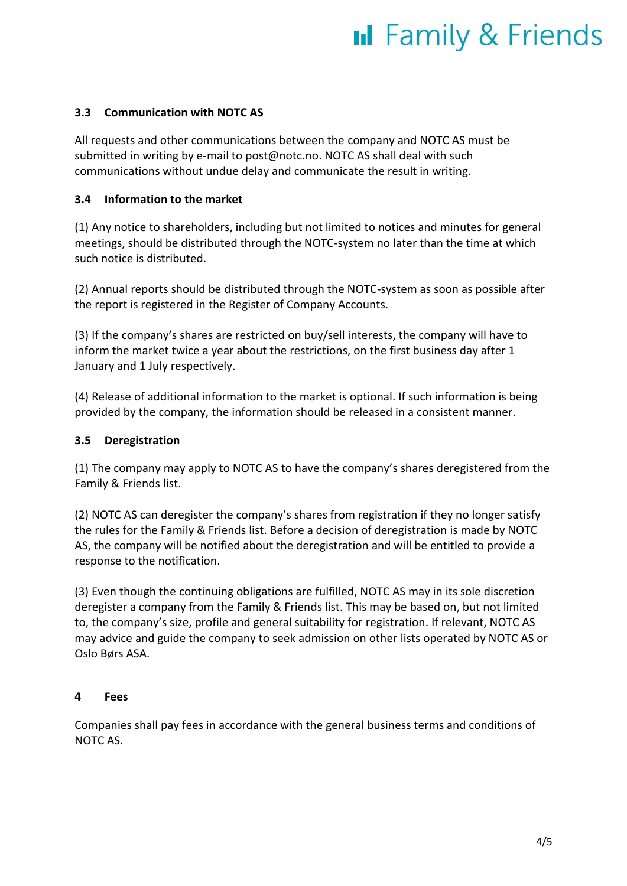#### **3.3 Communication with NOTC AS**

All requests and other communications between the company and NOTC AS must be submitted in writing by e-mail to post@notc.no. NOTC AS shall deal with such communications without undue delay and communicate the result in writing.

#### **3.4 Information to the market**

(1) Any notice to shareholders, including but not limited to notices and minutes for general meetings, should be distributed through the NOTC-system no later than the time at which such notice is distributed.

(2) Annual reports should be distributed through the NOTC-system as soon as possible after the report is registered in the Register of Company Accounts.

(3) If the company's shares are restricted on buy/sell interests, the company will have to inform the market twice a year about the restrictions, on the first business day after 1 January and 1 July respectively.

(4) Release of additional information to the market is optional. If such information is being provided by the company, the information should be released in a consistent manner.

#### **3.5 Deregistration**

(1) The company may apply to NOTC AS to have the company's shares deregistered from the Family & Friends list.

(2) NOTC AS can deregister the company's shares from registration if they no longer satisfy the rules for the Family & Friends list. Before a decision of deregistration is made by NOTC AS, the company will be notified about the deregistration and will be entitled to provide a response to the notification.

(3) Even though the continuing obligations are fulfilled, NOTC AS may in its sole discretion deregister a company from the Family & Friends list. This may be based on, but not limited to, the company's size, profile and general suitability for registration. If relevant, NOTC AS may advice and guide the company to seek admission on other lists operated by NOTC AS or Oslo Børs ASA.

#### **4 Fees**

Companies shall pay fees in accordance with the general business terms and conditions of NOTC AS.